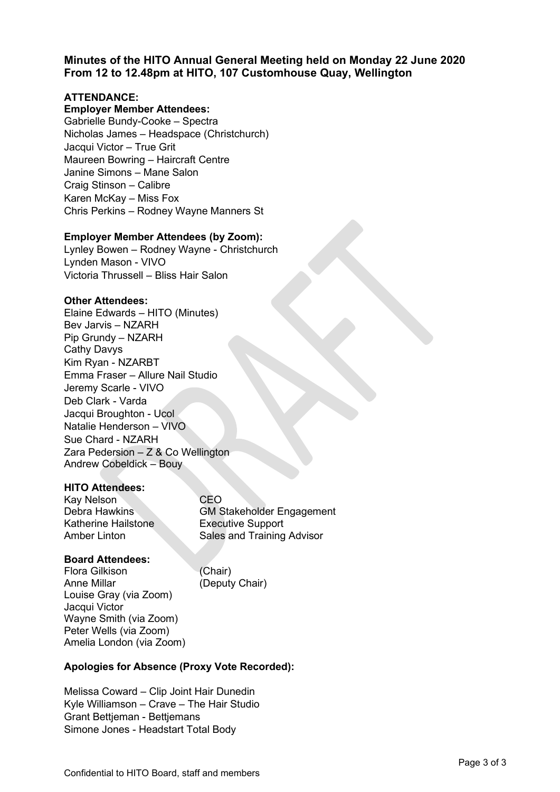# **Minutes of the HITO Annual General Meeting held on Monday 22 June 2020 From 12 to 12.48pm at HITO, 107 Customhouse Quay, Wellington**

## **ATTENDANCE:**

### **Employer Member Attendees:**

Gabrielle Bundy-Cooke – Spectra Nicholas James – Headspace (Christchurch) Jacqui Victor – True Grit Maureen Bowring – Haircraft Centre Janine Simons – Mane Salon Craig Stinson – Calibre Karen McKay – Miss Fox Chris Perkins – Rodney Wayne Manners St

#### **Employer Member Attendees (by Zoom):**

Lynley Bowen – Rodney Wayne - Christchurch Lynden Mason - VIVO Victoria Thrussell – Bliss Hair Salon

#### **Other Attendees:**

Elaine Edwards – HITO (Minutes) Bev Jarvis – NZARH Pip Grundy – NZARH Cathy Davys Kim Ryan - NZARBT Emma Fraser – Allure Nail Studio Jeremy Scarle - VIVO Deb Clark - Varda Jacqui Broughton - Ucol Natalie Henderson – VIVO Sue Chard - NZARH Zara Pedersion – Z & Co Wellington Andrew Cobeldick – Bouy

### **HITO Attendees:**

Kay Nelson CEO Katherine Hailstone **Executive Support** 

Debra Hawkins GM Stakeholder Engagement Amber Linton **Sales and Training Advisor** 

### **Board Attendees:**

Flora Gilkison (Chair) Anne Millar (Deputy Chair) Louise Gray (via Zoom) Jacqui Victor Wayne Smith (via Zoom) Peter Wells (via Zoom) Amelia London (via Zoom)

### **Apologies for Absence (Proxy Vote Recorded):**

Melissa Coward – Clip Joint Hair Dunedin Kyle Williamson – Crave – The Hair Studio Grant Bettjeman - Bettjemans Simone Jones - Headstart Total Body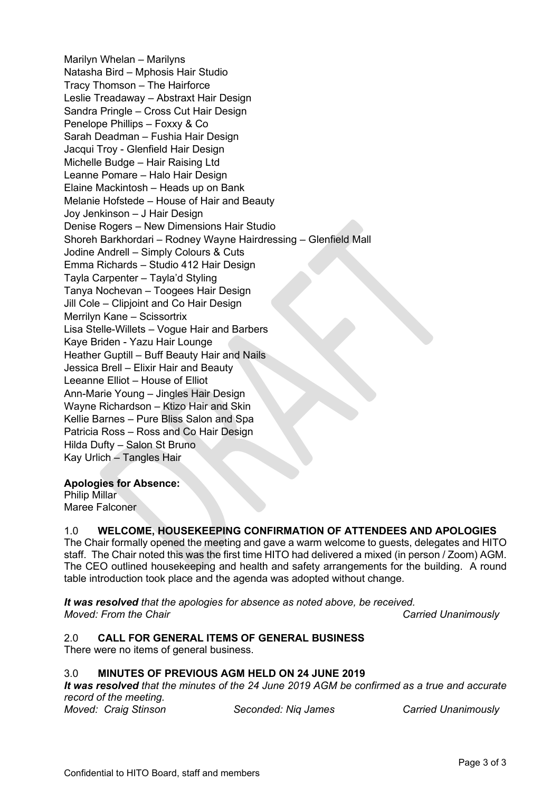Marilyn Whelan – Marilyns Natasha Bird – Mphosis Hair Studio Tracy Thomson – The Hairforce Leslie Treadaway – Abstraxt Hair Design Sandra Pringle – Cross Cut Hair Design Penelope Phillips – Foxxy & Co Sarah Deadman – Fushia Hair Design Jacqui Troy - Glenfield Hair Design Michelle Budge – Hair Raising Ltd Leanne Pomare – Halo Hair Design Elaine Mackintosh – Heads up on Bank Melanie Hofstede – House of Hair and Beauty Joy Jenkinson – J Hair Design Denise Rogers – New Dimensions Hair Studio Shoreh Barkhordari – Rodney Wayne Hairdressing – Glenfield Mall Jodine Andrell – Simply Colours & Cuts Emma Richards – Studio 412 Hair Design Tayla Carpenter – Tayla'd Styling Tanya Nochevan – Toogees Hair Design Jill Cole – Clipjoint and Co Hair Design Merrilyn Kane – Scissortrix Lisa Stelle-Willets – Vogue Hair and Barbers Kaye Briden - Yazu Hair Lounge Heather Guptill – Buff Beauty Hair and Nails Jessica Brell – Elixir Hair and Beauty Leeanne Elliot – House of Elliot Ann-Marie Young – Jingles Hair Design Wayne Richardson – Ktizo Hair and Skin Kellie Barnes – Pure Bliss Salon and Spa Patricia Ross – Ross and Co Hair Design Hilda Dufty – Salon St Bruno Kay Urlich – Tangles Hair

### **Apologies for Absence:**

Philip Millar Maree Falconer

## 1.0 **WELCOME, HOUSEKEEPING CONFIRMATION OF ATTENDEES AND APOLOGIES**

The Chair formally opened the meeting and gave a warm welcome to guests, delegates and HITO staff. The Chair noted this was the first time HITO had delivered a mixed (in person / Zoom) AGM. The CEO outlined housekeeping and health and safety arrangements for the building. A round table introduction took place and the agenda was adopted without change.

*It was resolved that the apologies for absence as noted above, be received. Moved: From the Chair* Carried Unanimously

### 2.0 **CALL FOR GENERAL ITEMS OF GENERAL BUSINESS**

There were no items of general business.

### 3.0 **MINUTES OF PREVIOUS AGM HELD ON 24 JUNE 2019**

*It was resolved that the minutes of the 24 June 2019 AGM be confirmed as a true and accurate record of the meeting.*

*Moved: Craig Stinson Seconded: Niq James Carried Unanimously*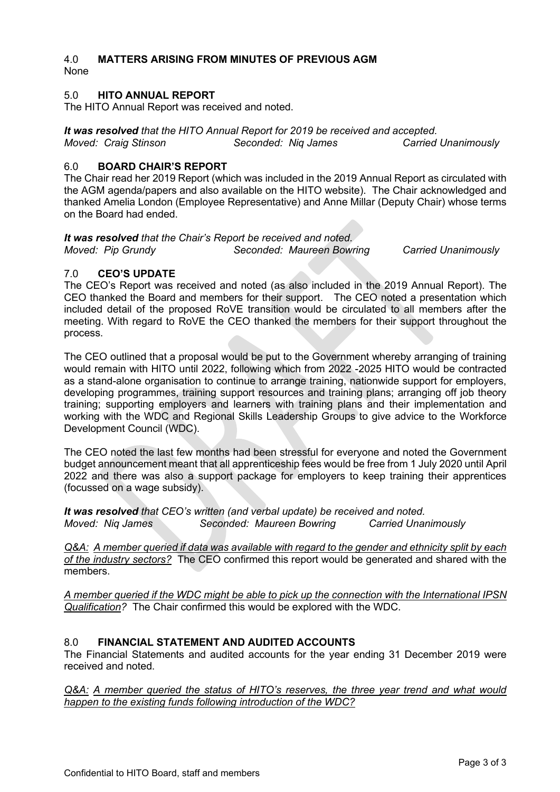## 4.0 **MATTERS ARISING FROM MINUTES OF PREVIOUS AGM**

None

## 5.0 **HITO ANNUAL REPORT**

The HITO Annual Report was received and noted.

*It was resolved that the HITO Annual Report for 2019 be received and accepted. Moved: Craig Stinson Seconded: Niq James Carried Unanimously*

## 6.0 **BOARD CHAIR'S REPORT**

The Chair read her 2019 Report (which was included in the 2019 Annual Report as circulated with the AGM agenda/papers and also available on the HITO website). The Chair acknowledged and thanked Amelia London (Employee Representative) and Anne Millar (Deputy Chair) whose terms on the Board had ended.

# *It was resolved that the Chair's Report be received and noted.*

*Moved: Pip Grundy Seconded: Maureen Bowring Carried Unanimously*

## 7.0 **CEO'S UPDATE**

The CEO's Report was received and noted (as also included in the 2019 Annual Report). The CEO thanked the Board and members for their support. The CEO noted a presentation which included detail of the proposed RoVE transition would be circulated to all members after the meeting. With regard to RoVE the CEO thanked the members for their support throughout the process.

The CEO outlined that a proposal would be put to the Government whereby arranging of training would remain with HITO until 2022, following which from 2022 -2025 HITO would be contracted as a stand-alone organisation to continue to arrange training, nationwide support for employers, developing programmes, training support resources and training plans; arranging off job theory training; supporting employers and learners with training plans and their implementation and working with the WDC and Regional Skills Leadership Groups to give advice to the Workforce Development Council (WDC).

The CEO noted the last few months had been stressful for everyone and noted the Government budget announcement meant that all apprenticeship fees would be free from 1 July 2020 until April 2022 and there was also a support package for employers to keep training their apprentices (focussed on a wage subsidy).

*It was resolved that CEO's written (and verbal update) be received and noted.*<br>Moved: Nig James *Seconded: Maureen Bowring Carried Unar* **Seconded: Maureen Bowring Carried Unanimously** 

*Q&A: A member queried if data was available with regard to the gender and ethnicity split by each of the industry sectors?* The CEO confirmed this report would be generated and shared with the members.

*A member queried if the WDC might be able to pick up the connection with the International IPSN Qualification?* The Chair confirmed this would be explored with the WDC.

# 8.0 **FINANCIAL STATEMENT AND AUDITED ACCOUNTS**

The Financial Statements and audited accounts for the year ending 31 December 2019 were received and noted.

*Q&A: A member queried the status of HITO's reserves, the three year trend and what would happen to the existing funds following introduction of the WDC?*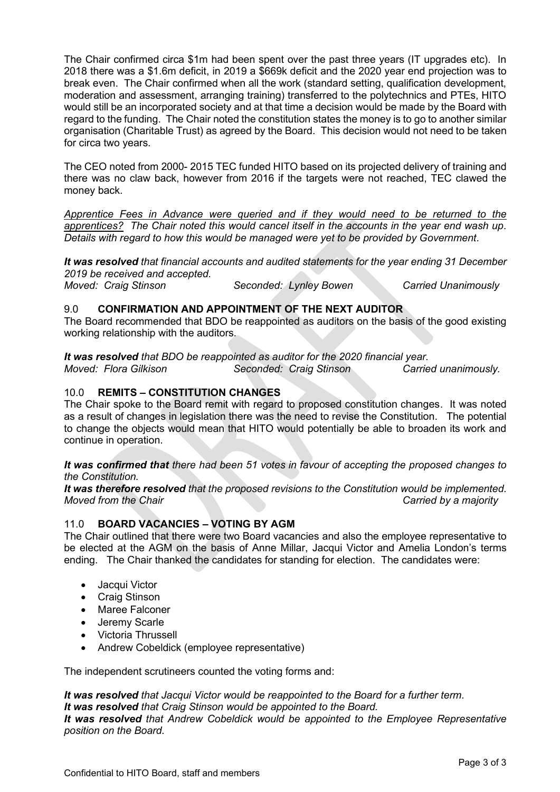The Chair confirmed circa \$1m had been spent over the past three years (IT upgrades etc). In 2018 there was a \$1.6m deficit, in 2019 a \$669k deficit and the 2020 year end projection was to break even. The Chair confirmed when all the work (standard setting, qualification development, moderation and assessment, arranging training) transferred to the polytechnics and PTEs, HITO would still be an incorporated society and at that time a decision would be made by the Board with regard to the funding. The Chair noted the constitution states the money is to go to another similar organisation (Charitable Trust) as agreed by the Board. This decision would not need to be taken for circa two years.

The CEO noted from 2000- 2015 TEC funded HITO based on its projected delivery of training and there was no claw back, however from 2016 if the targets were not reached, TEC clawed the money back.

*Apprentice Fees in Advance were queried and if they would need to be returned to the apprentices? The Chair noted this would cancel itself in the accounts in the year end wash up. Details with regard to how this would be managed were yet to be provided by Government.* 

*It was resolved that financial accounts and audited statements for the year ending 31 December 2019 be received and accepted.*

*Moved: Craig Stinson Seconded: Lynley Bowen Carried Unanimously*

# 9.0 **CONFIRMATION AND APPOINTMENT OF THE NEXT AUDITOR**

The Board recommended that BDO be reappointed as auditors on the basis of the good existing working relationship with the auditors.

*It was resolved that BDO be reappointed as auditor for the 2020 financial year. Moved: Flora Gilkison Seconded: Craig Stinson Carried unanimously.*

## 10.0 **REMITS – CONSTITUTION CHANGES**

The Chair spoke to the Board remit with regard to proposed constitution changes. It was noted as a result of changes in legislation there was the need to revise the Constitution. The potential to change the objects would mean that HITO would potentially be able to broaden its work and continue in operation.

*It was confirmed that there had been 51 votes in favour of accepting the proposed changes to the Constitution.*

*It was therefore resolved that the proposed revisions to the Constitution would be implemented. Moved from the Chair Carried by a majority*

## 11.0 **BOARD VACANCIES – VOTING BY AGM**

The Chair outlined that there were two Board vacancies and also the employee representative to be elected at the AGM on the basis of Anne Millar, Jacqui Victor and Amelia London's terms ending. The Chair thanked the candidates for standing for election. The candidates were:

- Jacqui Victor
- Craig Stinson
- Maree Falconer
- Jeremy Scarle
- Victoria Thrussell
- Andrew Cobeldick (employee representative)

The independent scrutineers counted the voting forms and:

*It was resolved that Jacqui Victor would be reappointed to the Board for a further term. It was resolved that Craig Stinson would be appointed to the Board. It was resolved that Andrew Cobeldick would be appointed to the Employee Representative position on the Board.*